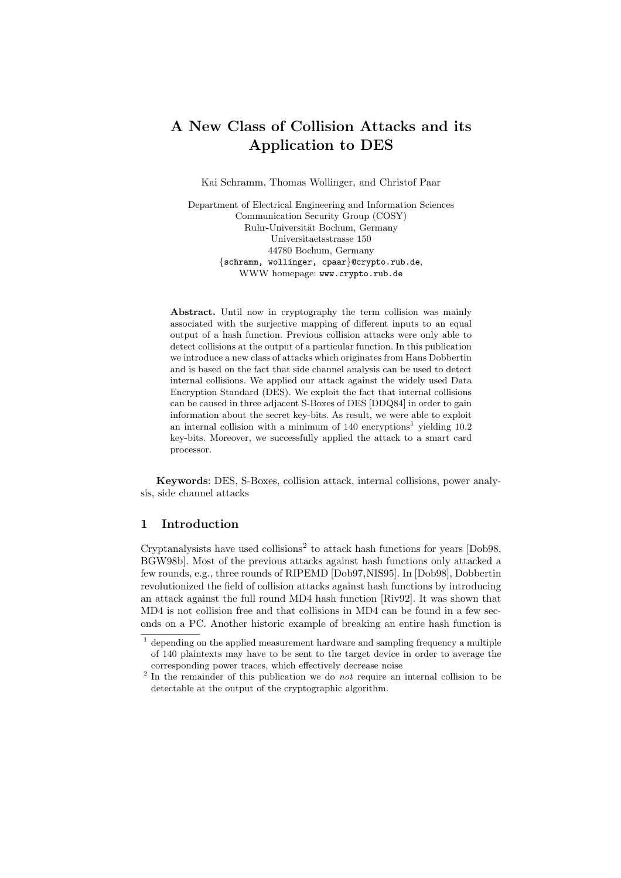# A New Class of Collision Attacks and its Application to DES

Kai Schramm, Thomas Wollinger, and Christof Paar

Department of Electrical Engineering and Information Sciences Communication Security Group (COSY) Ruhr-Universität Bochum, Germany Universitaetsstrasse 150 44780 Bochum, Germany {schramm, wollinger, cpaar}@crypto.rub.de, WWW homepage: www.crypto.rub.de

Abstract. Until now in cryptography the term collision was mainly associated with the surjective mapping of different inputs to an equal output of a hash function. Previous collision attacks were only able to detect collisions at the output of a particular function. In this publication we introduce a new class of attacks which originates from Hans Dobbertin and is based on the fact that side channel analysis can be used to detect internal collisions. We applied our attack against the widely used Data Encryption Standard (DES). We exploit the fact that internal collisions can be caused in three adjacent S-Boxes of DES [DDQ84] in order to gain information about the secret key-bits. As result, we were able to exploit an internal collision with a minimum of  $140$  encryptions<sup>1</sup> yielding  $10.2$ key-bits. Moreover, we successfully applied the attack to a smart card processor.

Keywords: DES, S-Boxes, collision attack, internal collisions, power analysis, side channel attacks

### 1 Introduction

Cryptanalysists have used collisions<sup>2</sup> to attack hash functions for years [Dob98, BGW98b]. Most of the previous attacks against hash functions only attacked a few rounds, e.g., three rounds of RIPEMD [Dob97,NIS95]. In [Dob98], Dobbertin revolutionized the field of collision attacks against hash functions by introducing an attack against the full round MD4 hash function [Riv92]. It was shown that MD4 is not collision free and that collisions in MD4 can be found in a few seconds on a PC. Another historic example of breaking an entire hash function is

 $1$  depending on the applied measurement hardware and sampling frequency a multiple of 140 plaintexts may have to be sent to the target device in order to average the corresponding power traces, which effectively decrease noise

<sup>&</sup>lt;sup>2</sup> In the remainder of this publication we do *not* require an internal collision to be detectable at the output of the cryptographic algorithm.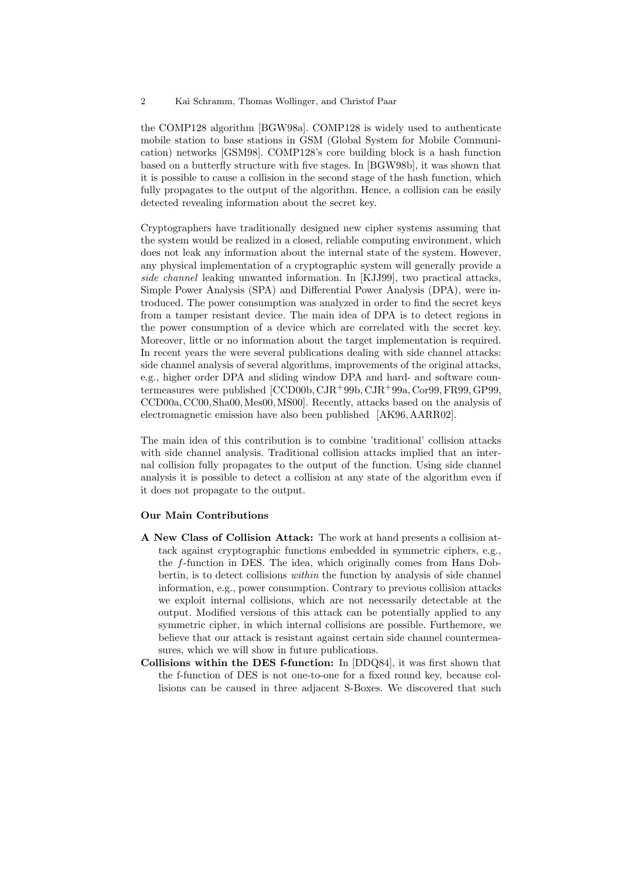the COMP128 algorithm [BGW98a]. COMP128 is widely used to authenticate mobile station to base stations in GSM (Global System for Mobile Communication) networks [GSM98]. COMP128's core building block is a hash function based on a butterfly structure with five stages. In [BGW98b], it was shown that it is possible to cause a collision in the second stage of the hash function, which fully propagates to the output of the algorithm. Hence, a collision can be easily detected revealing information about the secret key.

Cryptographers have traditionally designed new cipher systems assuming that the system would be realized in a closed, reliable computing environment, which does not leak any information about the internal state of the system. However, any physical implementation of a cryptographic system will generally provide a side channel leaking unwanted information. In [KJJ99], two practical attacks, Simple Power Analysis (SPA) and Differential Power Analysis (DPA), were introduced. The power consumption was analyzed in order to find the secret keys from a tamper resistant device. The main idea of DPA is to detect regions in the power consumption of a device which are correlated with the secret key. Moreover, little or no information about the target implementation is required. In recent years the were several publications dealing with side channel attacks: side channel analysis of several algorithms, improvements of the original attacks, e.g., higher order DPA and sliding window DPA and hard- and software countermeasures were published [CCD00b, CJR<sup>+</sup>99b, CJR<sup>+</sup>99a, Cor99,FR99,GP99, CCD00a,CC00,Sha00,Mes00,MS00]. Recently, attacks based on the analysis of electromagnetic emission have also been published [AK96,AARR02].

The main idea of this contribution is to combine 'traditional' collision attacks with side channel analysis. Traditional collision attacks implied that an internal collision fully propagates to the output of the function. Using side channel analysis it is possible to detect a collision at any state of the algorithm even if it does not propagate to the output.

#### Our Main Contributions

- A New Class of Collision Attack: The work at hand presents a collision attack against cryptographic functions embedded in symmetric ciphers, e.g., the f-function in DES. The idea, which originally comes from Hans Dobbertin, is to detect collisions within the function by analysis of side channel information, e.g., power consumption. Contrary to previous collision attacks we exploit internal collisions, which are not necessarily detectable at the output. Modified versions of this attack can be potentially applied to any symmetric cipher, in which internal collisions are possible. Furthemore, we believe that our attack is resistant against certain side channel countermeasures, which we will show in future publications.
- Collisions within the DES f-function: In [DDQ84], it was first shown that the f-function of DES is not one-to-one for a fixed round key, because collisions can be caused in three adjacent S-Boxes. We discovered that such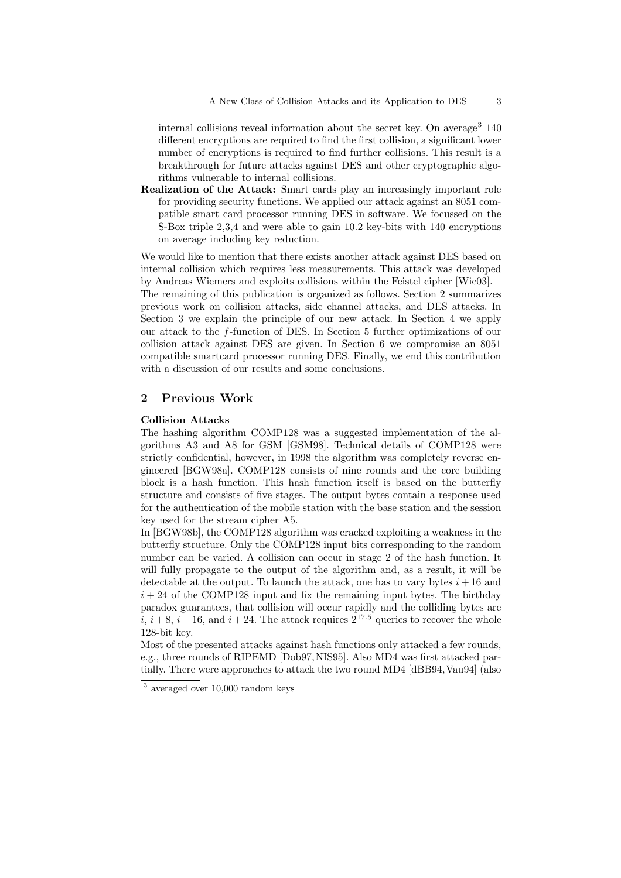internal collisions reveal information about the secret key. On average<sup>3</sup> 140 different encryptions are required to find the first collision, a significant lower number of encryptions is required to find further collisions. This result is a breakthrough for future attacks against DES and other cryptographic algorithms vulnerable to internal collisions.

Realization of the Attack: Smart cards play an increasingly important role for providing security functions. We applied our attack against an 8051 compatible smart card processor running DES in software. We focussed on the S-Box triple 2,3,4 and were able to gain 10.2 key-bits with 140 encryptions on average including key reduction.

We would like to mention that there exists another attack against DES based on internal collision which requires less measurements. This attack was developed by Andreas Wiemers and exploits collisions within the Feistel cipher [Wie03].

The remaining of this publication is organized as follows. Section 2 summarizes previous work on collision attacks, side channel attacks, and DES attacks. In Section 3 we explain the principle of our new attack. In Section 4 we apply our attack to the f-function of DES. In Section 5 further optimizations of our collision attack against DES are given. In Section 6 we compromise an 8051 compatible smartcard processor running DES. Finally, we end this contribution with a discussion of our results and some conclusions.

### 2 Previous Work

#### Collision Attacks

The hashing algorithm COMP128 was a suggested implementation of the algorithms A3 and A8 for GSM [GSM98]. Technical details of COMP128 were strictly confidential, however, in 1998 the algorithm was completely reverse engineered [BGW98a]. COMP128 consists of nine rounds and the core building block is a hash function. This hash function itself is based on the butterfly structure and consists of five stages. The output bytes contain a response used for the authentication of the mobile station with the base station and the session key used for the stream cipher A5.

In [BGW98b], the COMP128 algorithm was cracked exploiting a weakness in the butterfly structure. Only the COMP128 input bits corresponding to the random number can be varied. A collision can occur in stage 2 of the hash function. It will fully propagate to the output of the algorithm and, as a result, it will be detectable at the output. To launch the attack, one has to vary bytes  $i + 16$  and  $i + 24$  of the COMP128 input and fix the remaining input bytes. The birthday paradox guarantees, that collision will occur rapidly and the colliding bytes are  $i, i+8, i+16$ , and  $i+24$ . The attack requires  $2^{17.5}$  queries to recover the whole 128-bit key.

Most of the presented attacks against hash functions only attacked a few rounds, e.g., three rounds of RIPEMD [Dob97,NIS95]. Also MD4 was first attacked partially. There were approaches to attack the two round MD4 [dBB94,Vau94] (also

<sup>3</sup> averaged over 10,000 random keys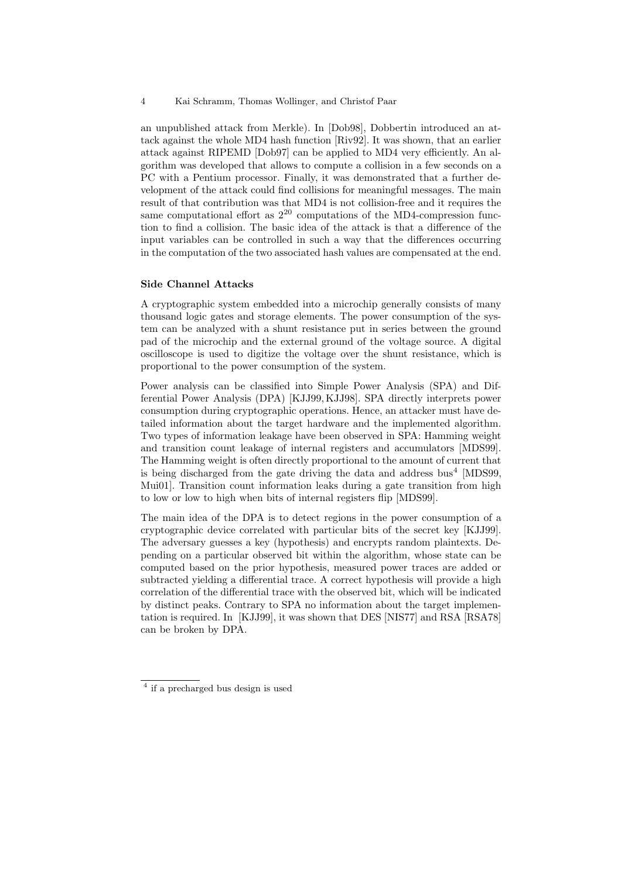an unpublished attack from Merkle). In [Dob98], Dobbertin introduced an attack against the whole MD4 hash function [Riv92]. It was shown, that an earlier attack against RIPEMD [Dob97] can be applied to MD4 very efficiently. An algorithm was developed that allows to compute a collision in a few seconds on a PC with a Pentium processor. Finally, it was demonstrated that a further development of the attack could find collisions for meaningful messages. The main result of that contribution was that MD4 is not collision-free and it requires the same computational effort as  $2^{20}$  computations of the MD4-compression function to find a collision. The basic idea of the attack is that a difference of the input variables can be controlled in such a way that the differences occurring in the computation of the two associated hash values are compensated at the end.

#### Side Channel Attacks

A cryptographic system embedded into a microchip generally consists of many thousand logic gates and storage elements. The power consumption of the system can be analyzed with a shunt resistance put in series between the ground pad of the microchip and the external ground of the voltage source. A digital oscilloscope is used to digitize the voltage over the shunt resistance, which is proportional to the power consumption of the system.

Power analysis can be classified into Simple Power Analysis (SPA) and Differential Power Analysis (DPA) [KJJ99, KJJ98]. SPA directly interprets power consumption during cryptographic operations. Hence, an attacker must have detailed information about the target hardware and the implemented algorithm. Two types of information leakage have been observed in SPA: Hamming weight and transition count leakage of internal registers and accumulators [MDS99]. The Hamming weight is often directly proportional to the amount of current that is being discharged from the gate driving the data and address bus<sup>4</sup> [MDS99, Mui01]. Transition count information leaks during a gate transition from high to low or low to high when bits of internal registers flip [MDS99].

The main idea of the DPA is to detect regions in the power consumption of a cryptographic device correlated with particular bits of the secret key [KJJ99]. The adversary guesses a key (hypothesis) and encrypts random plaintexts. Depending on a particular observed bit within the algorithm, whose state can be computed based on the prior hypothesis, measured power traces are added or subtracted yielding a differential trace. A correct hypothesis will provide a high correlation of the differential trace with the observed bit, which will be indicated by distinct peaks. Contrary to SPA no information about the target implementation is required. In [KJJ99], it was shown that DES [NIS77] and RSA [RSA78] can be broken by DPA.

<sup>&</sup>lt;sup>4</sup> if a precharged bus design is used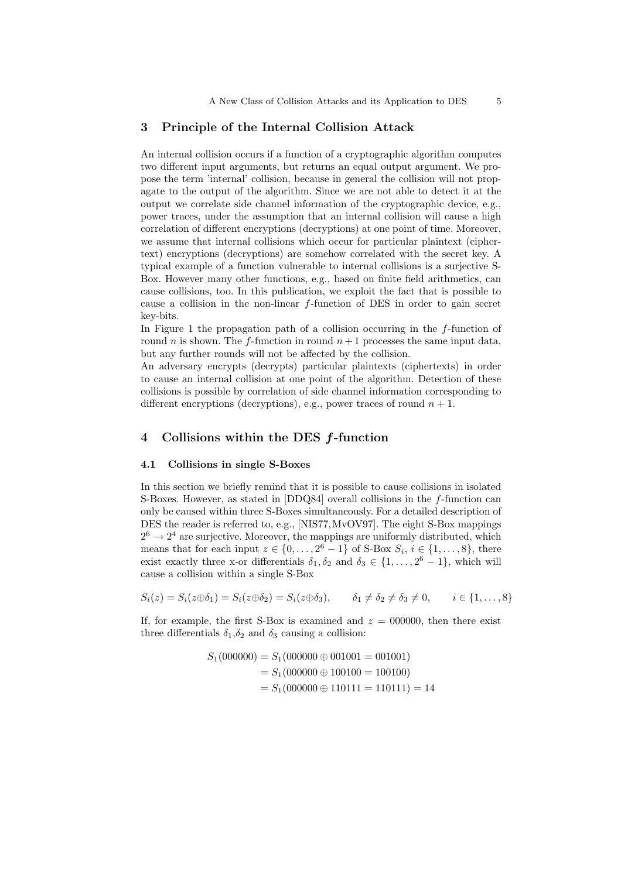### 3 Principle of the Internal Collision Attack

An internal collision occurs if a function of a cryptographic algorithm computes two different input arguments, but returns an equal output argument. We propose the term 'internal' collision, because in general the collision will not propagate to the output of the algorithm. Since we are not able to detect it at the output we correlate side channel information of the cryptographic device, e.g., power traces, under the assumption that an internal collision will cause a high correlation of different encryptions (decryptions) at one point of time. Moreover, we assume that internal collisions which occur for particular plaintext (ciphertext) encryptions (decryptions) are somehow correlated with the secret key. A typical example of a function vulnerable to internal collisions is a surjective S-Box. However many other functions, e.g., based on finite field arithmetics, can cause collisions, too. In this publication, we exploit the fact that is possible to cause a collision in the non-linear f-function of DES in order to gain secret key-bits.

In Figure 1 the propagation path of a collision occurring in the f-function of round n is shown. The f-function in round  $n+1$  processes the same input data, but any further rounds will not be affected by the collision.

An adversary encrypts (decrypts) particular plaintexts (ciphertexts) in order to cause an internal collision at one point of the algorithm. Detection of these collisions is possible by correlation of side channel information corresponding to different encryptions (decryptions), e.g., power traces of round  $n + 1$ .

### 4 Collisions within the DES f-function

#### 4.1 Collisions in single S-Boxes

In this section we briefly remind that it is possible to cause collisions in isolated S-Boxes. However, as stated in  $[DDQ84]$  overall collisions in the f-function can only be caused within three S-Boxes simultaneously. For a detailed description of DES the reader is referred to, e.g., [NIS77,MvOV97]. The eight S-Box mappings  $2^6 \rightarrow 2^4$  are surjective. Moreover, the mappings are uniformly distributed, which means that for each input  $z \in \{0, \ldots, 2^6 - 1\}$  of S-Box  $S_i, i \in \{1, \ldots, 8\}$ , there exist exactly three x-or differentials  $\delta_1, \delta_2$  and  $\delta_3 \in \{1, \ldots, 2^6 - 1\}$ , which will cause a collision within a single S-Box

$$
S_i(z) = S_i(z \oplus \delta_1) = S_i(z \oplus \delta_2) = S_i(z \oplus \delta_3), \qquad \delta_1 \neq \delta_2 \neq \delta_3 \neq 0, \qquad i \in \{1, \ldots, 8\}
$$

If, for example, the first S-Box is examined and  $z = 000000$ , then there exist three differentials  $\delta_1, \delta_2$  and  $\delta_3$  causing a collision:

$$
S_1(000000) = S_1(000000 \oplus 001001 = 001001)
$$
  
= S<sub>1</sub>(000000 \oplus 100100 = 100100)  
= S<sub>1</sub>(000000 \oplus 110111 = 110111) = 14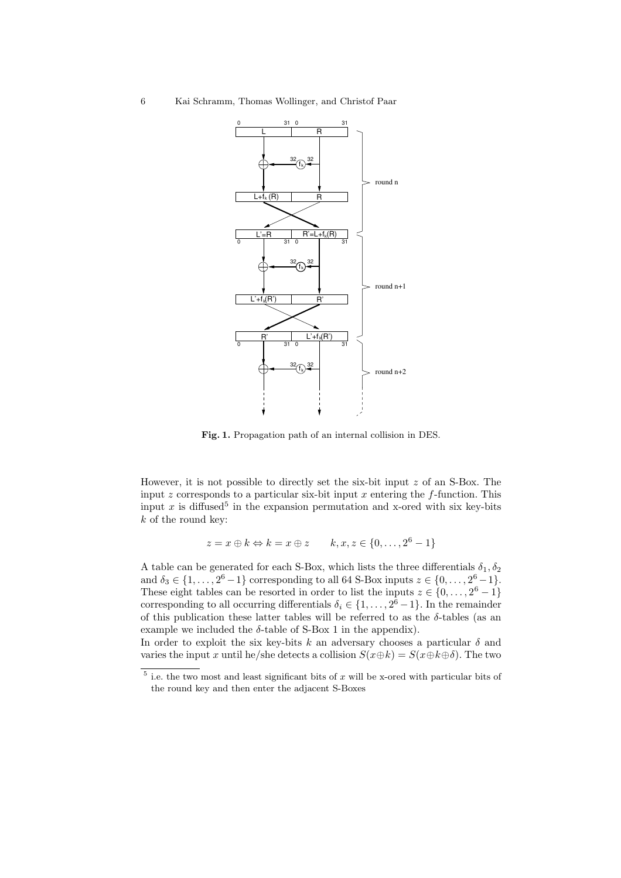

Fig. 1. Propagation path of an internal collision in DES.

However, it is not possible to directly set the six-bit input  $z$  of an S-Box. The input  $z$  corresponds to a particular six-bit input  $x$  entering the  $f$ -function. This input  $x$  is diffused<sup>5</sup> in the expansion permutation and x-ored with six key-bits  $k$  of the round key:

$$
z = x \oplus k \Leftrightarrow k = x \oplus z \qquad k, x, z \in \{0, \dots, 2^6 - 1\}
$$

A table can be generated for each S-Box, which lists the three differentials  $\delta_1, \delta_2$ and  $\delta_3 \in \{1, \ldots, 2^6 - 1\}$  corresponding to all 64 S-Box inputs  $z \in \{0, \ldots, 2^6 - 1\}$ . These eight tables can be resorted in order to list the inputs  $z \in \{0, \ldots, 2^6 - 1\}$ corresponding to all occurring differentials  $\delta_i \in \{1, \ldots, 2^6 - 1\}$ . In the remainder of this publication these latter tables will be referred to as the  $\delta$ -tables (as an example we included the  $\delta$ -table of S-Box 1 in the appendix).

In order to exploit the six key-bits k an adversary chooses a particular  $\delta$  and varies the input x until he/she detects a collision  $S(x \oplus k) = S(x \oplus k \oplus \delta)$ . The two

 $5$  i.e. the two most and least significant bits of x will be x-ored with particular bits of the round key and then enter the adjacent S-Boxes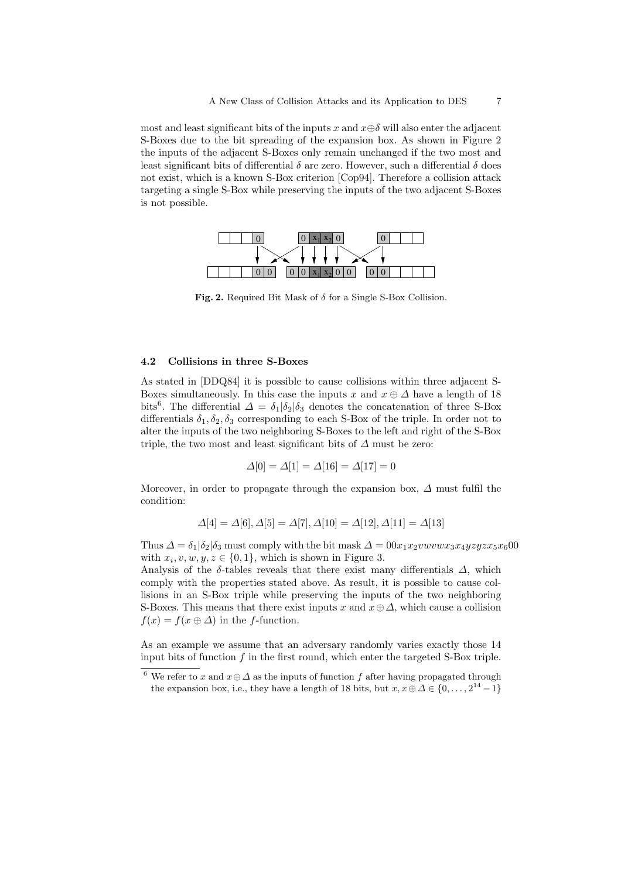most and least significant bits of the inputs x and  $x \oplus \delta$  will also enter the adjacent S-Boxes due to the bit spreading of the expansion box. As shown in Figure 2 the inputs of the adjacent S-Boxes only remain unchanged if the two most and least significant bits of differential  $\delta$  are zero. However, such a differential  $\delta$  does not exist, which is a known S-Box criterion [Cop94]. Therefore a collision attack targeting a single S-Box while preserving the inputs of the two adjacent S-Boxes is not possible.



Fig. 2. Required Bit Mask of  $\delta$  for a Single S-Box Collision.

#### 4.2 Collisions in three S-Boxes

As stated in [DDQ84] it is possible to cause collisions within three adjacent S-Boxes simultaneously. In this case the inputs x and  $x \oplus \Delta$  have a length of 18 bits<sup>6</sup>. The differential  $\Delta = \delta_1 |\delta_2| \delta_3$  denotes the concatenation of three S-Box differentials  $\delta_1, \delta_2, \delta_3$  corresponding to each S-Box of the triple. In order not to alter the inputs of the two neighboring S-Boxes to the left and right of the S-Box triple, the two most and least significant bits of  $\Delta$  must be zero:

$$
\Delta[0] = \Delta[1] = \Delta[16] = \Delta[17] = 0
$$

Moreover, in order to propagate through the expansion box,  $\Delta$  must fulfil the condition:

$$
\Delta[4] = \Delta[6], \Delta[5] = \Delta[7], \Delta[10] = \Delta[12], \Delta[11] = \Delta[13]
$$

Thus  $\Delta = \delta_1 |\delta_2| \delta_3$  must comply with the bit mask  $\Delta = 00x_1x_2vwvwx_3x_4yzyzx_5x_600$ with  $x_i, v, w, y, z \in \{0, 1\}$ , which is shown in Figure 3.

Analysis of the  $\delta$ -tables reveals that there exist many differentials  $\Delta$ , which comply with the properties stated above. As result, it is possible to cause collisions in an S-Box triple while preserving the inputs of the two neighboring S-Boxes. This means that there exist inputs x and  $x \oplus \Delta$ , which cause a collision  $f(x) = f(x \oplus \Delta)$  in the f-function.

As an example we assume that an adversary randomly varies exactly those 14 input bits of function  $f$  in the first round, which enter the targeted S-Box triple.

<sup>&</sup>lt;sup>6</sup> We refer to x and  $x \oplus \Delta$  as the inputs of function f after having propagated through the expansion box, i.e., they have a length of 18 bits, but  $x, x \oplus \Delta \in \{0, \ldots, 2^{14} - 1\}$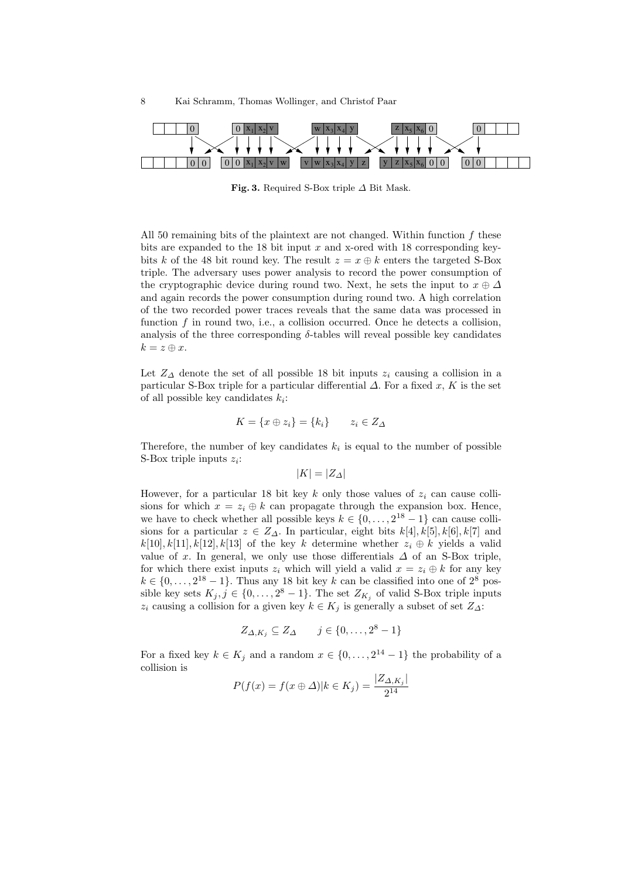

Fig. 3. Required S-Box triple  $\Delta$  Bit Mask.

All 50 remaining bits of the plaintext are not changed. Within function  $f$  these bits are expanded to the 18 bit input x and x-ored with 18 corresponding keybits k of the 48 bit round key. The result  $z = x \oplus k$  enters the targeted S-Box triple. The adversary uses power analysis to record the power consumption of the cryptographic device during round two. Next, he sets the input to  $x \oplus \Delta$ and again records the power consumption during round two. A high correlation of the two recorded power traces reveals that the same data was processed in function  $f$  in round two, i.e., a collision occurred. Once he detects a collision, analysis of the three corresponding  $\delta$ -tables will reveal possible key candidates  $k = z \oplus x$ .

Let  $Z_{\Delta}$  denote the set of all possible 18 bit inputs  $z_i$  causing a collision in a particular S-Box triple for a particular differential  $\Delta$ . For a fixed x, K is the set of all possible key candidates  $k_i$ :

$$
K = \{x \oplus z_i\} = \{k_i\} \qquad z_i \in Z_{\Delta}
$$

Therefore, the number of key candidates  $k_i$  is equal to the number of possible S-Box triple inputs  $z_i$ :

$$
|K|=|Z_{\Delta}|
$$

However, for a particular 18 bit key k only those values of  $z_i$  can cause collisions for which  $x = z_i \oplus k$  can propagate through the expansion box. Hence, we have to check whether all possible keys  $k \in \{0, \ldots, 2^{18} - 1\}$  can cause collisions for a particular  $z \in Z_{\Delta}$ . In particular, eight bits  $k[4], k[5], k[6], k[7]$  and  $k[10], k[11], k[12], k[13]$  of the key k determine whether  $z_i \oplus k$  yields a valid value of x. In general, we only use those differentials  $\Delta$  of an S-Box triple, for which there exist inputs  $z_i$  which will yield a valid  $x = z_i \oplus k$  for any key  $k \in \{0, \ldots, 2^{18} - 1\}$ . Thus any 18 bit key k can be classified into one of  $2^8$  possible key sets  $K_j, j \in \{0, \ldots, 2^8 - 1\}$ . The set  $Z_{K_j}$  of valid S-Box triple inputs  $z_i$  causing a collision for a given key  $k \in K_j$  is generally a subset of set  $Z_{\Delta}$ :

$$
Z_{\Delta,K_j} \subseteq Z_{\Delta} \qquad j \in \{0, \ldots, 2^8 - 1\}
$$

For a fixed key  $k \in K_j$  and a random  $x \in \{0, \ldots, 2^{14} - 1\}$  the probability of a collision is

$$
P(f(x) = f(x \oplus \Delta)|k \in K_j) = \frac{|Z_{\Delta, K_j}|}{2^{14}}
$$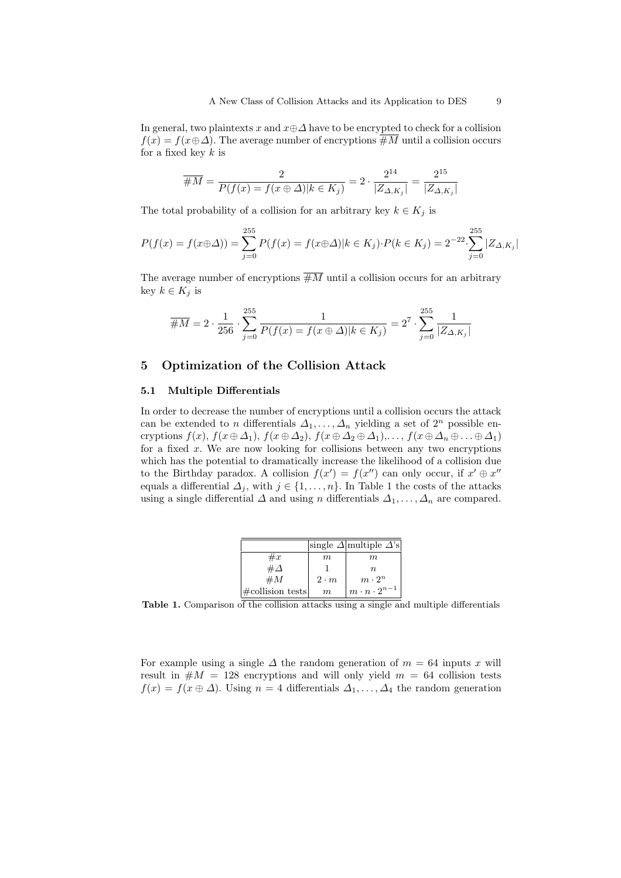In general, two plaintexts x and  $x \oplus \Delta$  have to be encrypted to check for a collision  $f(x) = f(x \oplus \Delta)$ . The average number of encryptions #M until a collision occurs for a fixed key  $k$  is

$$
\overline{\#M} = \frac{2}{P(f(x) = f(x \oplus \Delta)|k \in K_j)} = 2 \cdot \frac{2^{14}}{|Z_{\Delta,K_j}|} = \frac{2^{15}}{|Z_{\Delta,K_j}|}
$$

The total probability of a collision for an arbitrary key  $k \in K_i$  is

$$
P(f(x) = f(x \oplus \Delta)) = \sum_{j=0}^{255} P(f(x) = f(x \oplus \Delta)|k \in K_j) \cdot P(k \in K_j) = 2^{-22} \cdot \sum_{j=0}^{255} |Z_{\Delta, K_j}|
$$

The average number of encryptions  $\overline{HM}$  until a collision occurs for an arbitrary key  $k \in K_j$  is

$$
\overline{\#M} = 2 \cdot \frac{1}{256} \cdot \sum_{j=0}^{255} \frac{1}{P(f(x) = f(x \oplus \Delta)|k \in K_j)} = 2^7 \cdot \sum_{j=0}^{255} \frac{1}{|Z_{\Delta, K_j}|}
$$

### 5 Optimization of the Collision Attack

#### 5.1 Multiple Differentials

In order to decrease the number of encryptions until a collision occurs the attack can be extended to *n* differentials  $\Delta_1, \ldots, \Delta_n$  yielding a set of  $2^n$  possible encryptions  $f(x)$ ,  $f(x \oplus \Delta_1)$ ,  $f(x \oplus \Delta_2)$ ,  $f(x \oplus \Delta_2 \oplus \Delta_1)$ ,...,  $f(x \oplus \Delta_n \oplus ... \oplus \Delta_1)$ for a fixed  $x$ . We are now looking for collisions between any two encryptions which has the potential to dramatically increase the likelihood of a collision due to the Birthday paradox. A collision  $f(x') = f(x'')$  can only occur, if  $x' \oplus x''$ equals a differential  $\Delta_j$ , with  $j \in \{1, \ldots, n\}$ . In Table 1 the costs of the attacks using a single differential  $\Delta$  and using n differentials  $\Delta_1, \ldots, \Delta_n$  are compared.

|                     |                  | single $\Delta$ multiple $\Delta$ 's |
|---------------------|------------------|--------------------------------------|
| $\#x$               | $\boldsymbol{m}$ | m                                    |
| $\#\Delta$          |                  | n.                                   |
| #M                  | $2 \cdot m$      | $m \cdot 2^n$                        |
| $#$ collision tests | m                | $m \cdot n \cdot 2^{n-1}$            |

Table 1. Comparison of the collision attacks using a single and multiple differentials

For example using a single  $\Delta$  the random generation of  $m = 64$  inputs x will result in  $\#M = 128$  encryptions and will only yield  $m = 64$  collision tests  $f(x) = f(x \oplus \Delta)$ . Using  $n = 4$  differentials  $\Delta_1, \ldots, \Delta_4$  the random generation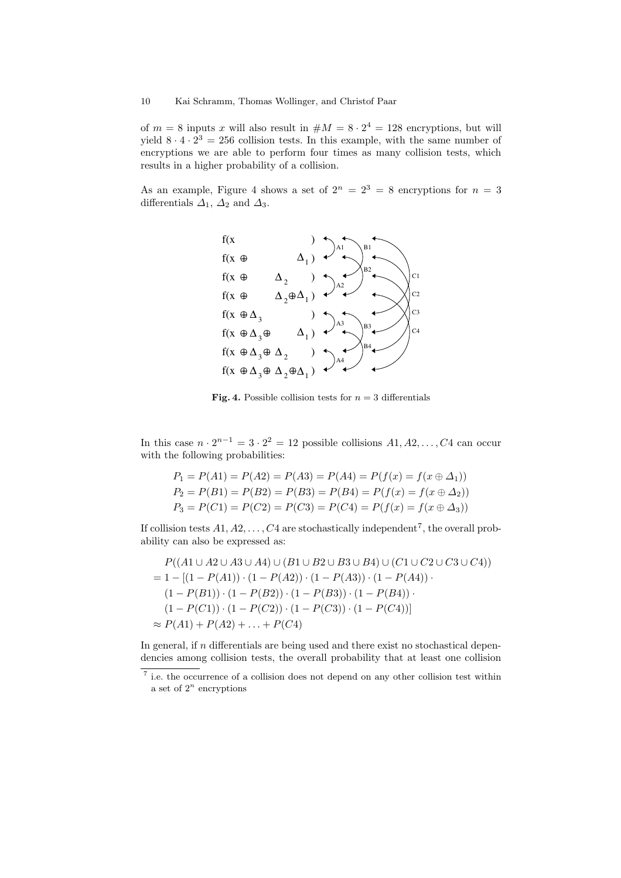of  $m = 8$  inputs x will also result in  $\#M = 8 \cdot 2^4 = 128$  encryptions, but will yield  $8 \cdot 4 \cdot 2^3 = 256$  collision tests. In this example, with the same number of encryptions we are able to perform four times as many collision tests, which results in a higher probability of a collision.

As an example, Figure 4 shows a set of  $2^n = 2^3 = 8$  encryptions for  $n = 3$ differentials  $\Delta_1$ ,  $\Delta_2$  and  $\Delta_3$ .



Fig. 4. Possible collision tests for  $n = 3$  differentials

In this case  $n \cdot 2^{n-1} = 3 \cdot 2^2 = 12$  possible collisions  $A1, A2, \ldots, C4$  can occur with the following probabilities:

$$
P_1 = P(A1) = P(A2) = P(A3) = P(A4) = P(f(x) = f(x \oplus \Delta_1))
$$
  
\n
$$
P_2 = P(B1) = P(B2) = P(B3) = P(B4) = P(f(x) = f(x \oplus \Delta_2))
$$
  
\n
$$
P_3 = P(C1) = P(C2) = P(C3) = P(C4) = P(f(x) = f(x \oplus \Delta_3))
$$

If collision tests  $A1, A2, \ldots, C4$  are stochastically independent<sup>7</sup>, the overall probability can also be expressed as:

$$
P((A1 \cup A2 \cup A3 \cup A4) \cup (B1 \cup B2 \cup B3 \cup B4) \cup (C1 \cup C2 \cup C3 \cup C4))
$$
  
= 1 - [(1 - P(A1)) \cdot (1 - P(A2)) \cdot (1 - P(A3)) \cdot (1 - P(A4)) \cdot (1 - P(B1)) \cdot (1 - P(B2)) \cdot (1 - P(B3)) \cdot (1 - P(B4)) \cdot (1 - P(C1)) \cdot (1 - P(C2)) \cdot (1 - P(C3)) \cdot (1 - P(C4))]  

$$
\approx P(A1) + P(A2) + \ldots + P(C4)
$$

In general, if  $n$  differentials are being used and there exist no stochastical dependencies among collision tests, the overall probability that at least one collision

<sup>&</sup>lt;sup>7</sup> i.e. the occurrence of a collision does not depend on any other collision test within a set of  $2^n$  encryptions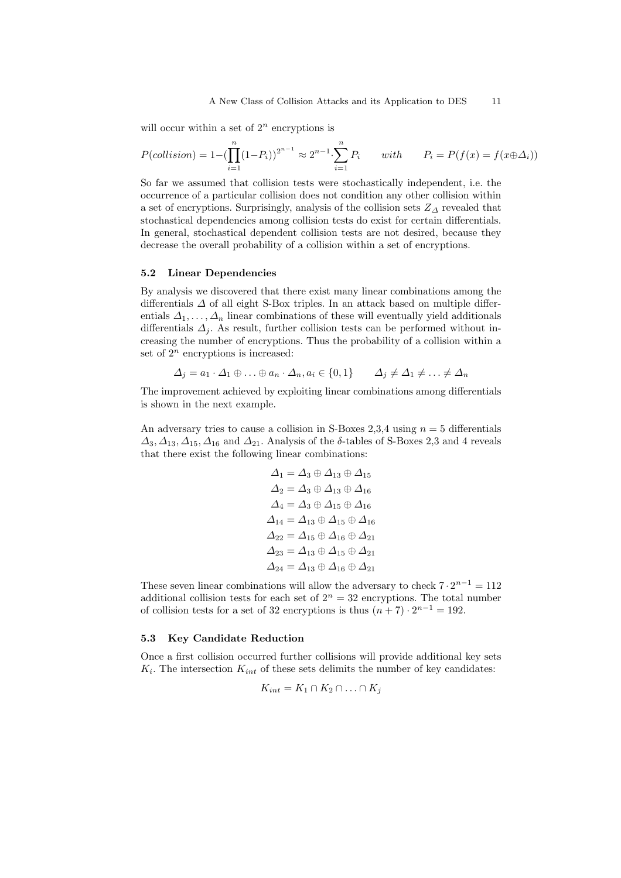will occur within a set of  $2^n$  encryptions is

$$
P(collision) = 1 - (\prod_{i=1}^{n} (1 - P_i))^{2^{n-1}} \approx 2^{n-1} \cdot \sum_{i=1}^{n} P_i \quad with \quad P_i = P(f(x) = f(x \oplus \Delta_i))
$$

So far we assumed that collision tests were stochastically independent, i.e. the occurrence of a particular collision does not condition any other collision within a set of encryptions. Surprisingly, analysis of the collision sets  $Z_{\Delta}$  revealed that stochastical dependencies among collision tests do exist for certain differentials. In general, stochastical dependent collision tests are not desired, because they decrease the overall probability of a collision within a set of encryptions.

#### 5.2 Linear Dependencies

By analysis we discovered that there exist many linear combinations among the differentials  $\Delta$  of all eight S-Box triples. In an attack based on multiple differentials  $\Delta_1, \ldots, \Delta_n$  linear combinations of these will eventually yield additionals differentials  $\Delta_i$ . As result, further collision tests can be performed without increasing the number of encryptions. Thus the probability of a collision within a set of  $2^n$  encryptions is increased:

$$
\Delta_j = a_1 \cdot \Delta_1 \oplus \ldots \oplus a_n \cdot \Delta_n, a_i \in \{0, 1\} \qquad \Delta_j \neq \Delta_1 \neq \ldots \neq \Delta_n
$$

The improvement achieved by exploiting linear combinations among differentials is shown in the next example.

An adversary tries to cause a collision in S-Boxes 2,3,4 using  $n = 5$  differentials  $\Delta_3$ ,  $\Delta_{13}$ ,  $\Delta_{15}$ ,  $\Delta_{16}$  and  $\Delta_{21}$ . Analysis of the δ-tables of S-Boxes 2,3 and 4 reveals that there exist the following linear combinations:

$$
\Delta_1 = \Delta_3 \oplus \Delta_{13} \oplus \Delta_{15}
$$
  
\n
$$
\Delta_2 = \Delta_3 \oplus \Delta_{13} \oplus \Delta_{16}
$$
  
\n
$$
\Delta_4 = \Delta_3 \oplus \Delta_{15} \oplus \Delta_{16}
$$
  
\n
$$
\Delta_{14} = \Delta_{13} \oplus \Delta_{15} \oplus \Delta_{16}
$$
  
\n
$$
\Delta_{22} = \Delta_{15} \oplus \Delta_{16} \oplus \Delta_{21}
$$
  
\n
$$
\Delta_{23} = \Delta_{13} \oplus \Delta_{15} \oplus \Delta_{21}
$$
  
\n
$$
\Delta_{24} = \Delta_{13} \oplus \Delta_{16} \oplus \Delta_{21}
$$

These seven linear combinations will allow the adversary to check  $7 \cdot 2^{n-1} = 112$ additional collision tests for each set of  $2^n = 32$  encryptions. The total number of collision tests for a set of 32 encryptions is thus  $(n + 7) \cdot 2^{n-1} = 192$ .

#### 5.3 Key Candidate Reduction

Once a first collision occurred further collisions will provide additional key sets  $K_i$ . The intersection  $K_{int}$  of these sets delimits the number of key candidates:

$$
K_{int} = K_1 \cap K_2 \cap \ldots \cap K_j
$$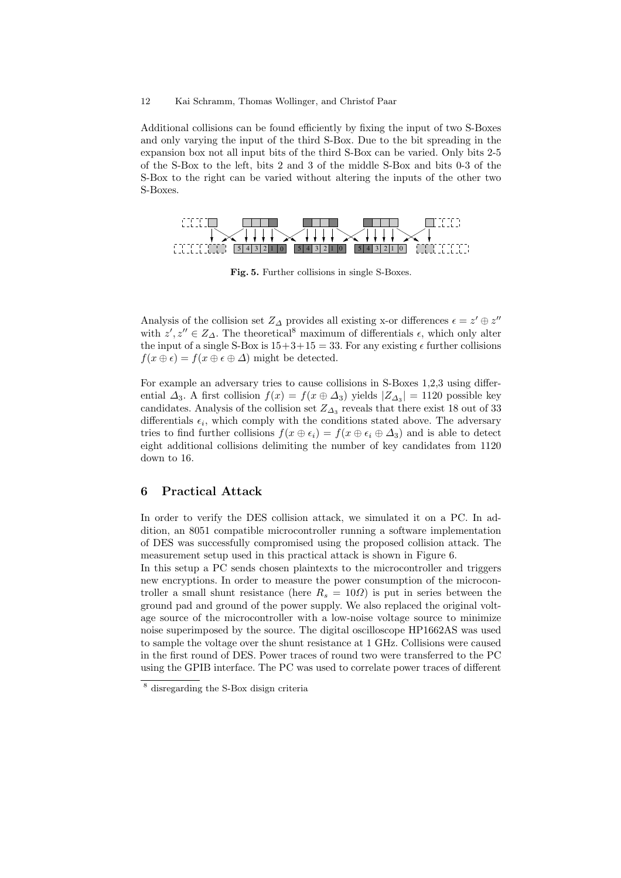Additional collisions can be found efficiently by fixing the input of two S-Boxes and only varying the input of the third S-Box. Due to the bit spreading in the expansion box not all input bits of the third S-Box can be varied. Only bits 2-5 of the S-Box to the left, bits 2 and 3 of the middle S-Box and bits 0-3 of the S-Box to the right can be varied without altering the inputs of the other two S-Boxes.



Fig. 5. Further collisions in single S-Boxes.

Analysis of the collision set  $Z_{\Delta}$  provides all existing x-or differences  $\epsilon = z' \oplus z''$ with  $z', z'' \in Z_{\Delta}$ . The theoretical<sup>8</sup> maximum of differentials  $\epsilon$ , which only alter the input of a single S-Box is  $15+3+15=33$ . For any existing  $\epsilon$  further collisions  $f(x \oplus \epsilon) = f(x \oplus \epsilon \oplus \Delta)$  might be detected.

For example an adversary tries to cause collisions in S-Boxes 1,2,3 using differential  $\Delta_3$ . A first collision  $f(x) = f(x \oplus \Delta_3)$  yields  $|Z_{\Delta_3}| = 1120$  possible key candidates. Analysis of the collision set  $Z_{\Delta_3}$  reveals that there exist 18 out of 33 differentials  $\epsilon_i$ , which comply with the conditions stated above. The adversary tries to find further collisions  $f(x \oplus \epsilon_i) = f(x \oplus \epsilon_i \oplus \Delta_3)$  and is able to detect eight additional collisions delimiting the number of key candidates from 1120 down to 16.

### 6 Practical Attack

In order to verify the DES collision attack, we simulated it on a PC. In addition, an 8051 compatible microcontroller running a software implementation of DES was successfully compromised using the proposed collision attack. The measurement setup used in this practical attack is shown in Figure 6.

In this setup a PC sends chosen plaintexts to the microcontroller and triggers new encryptions. In order to measure the power consumption of the microcontroller a small shunt resistance (here  $R_s = 10\Omega$ ) is put in series between the ground pad and ground of the power supply. We also replaced the original voltage source of the microcontroller with a low-noise voltage source to minimize noise superimposed by the source. The digital oscilloscope HP1662AS was used to sample the voltage over the shunt resistance at 1 GHz. Collisions were caused in the first round of DES. Power traces of round two were transferred to the PC using the GPIB interface. The PC was used to correlate power traces of different

<sup>8</sup> disregarding the S-Box disign criteria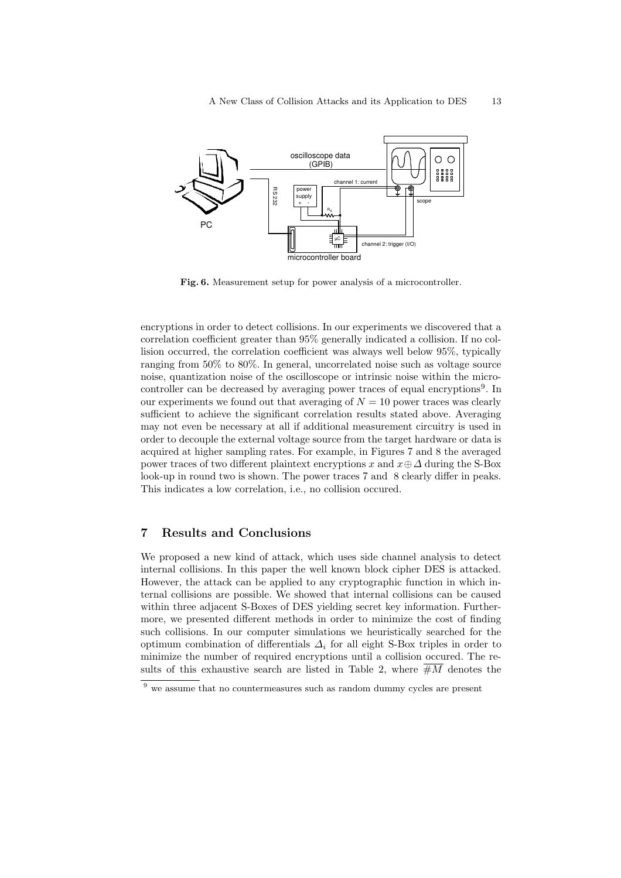

Fig. 6. Measurement setup for power analysis of a microcontroller.

encryptions in order to detect collisions. In our experiments we discovered that a correlation coefficient greater than 95% generally indicated a collision. If no collision occurred, the correlation coefficient was always well below 95%, typically ranging from 50% to 80%. In general, uncorrelated noise such as voltage source noise, quantization noise of the oscilloscope or intrinsic noise within the microcontroller can be decreased by averaging power traces of equal encryptions<sup>9</sup>. In our experiments we found out that averaging of  $N = 10$  power traces was clearly sufficient to achieve the significant correlation results stated above. Averaging may not even be necessary at all if additional measurement circuitry is used in order to decouple the external voltage source from the target hardware or data is acquired at higher sampling rates. For example, in Figures 7 and 8 the averaged power traces of two different plaintext encryptions x and  $x \oplus \Delta$  during the S-Box look-up in round two is shown. The power traces 7 and 8 clearly differ in peaks. This indicates a low correlation, i.e., no collision occured.

### 7 Results and Conclusions

We proposed a new kind of attack, which uses side channel analysis to detect internal collisions. In this paper the well known block cipher DES is attacked. However, the attack can be applied to any cryptographic function in which internal collisions are possible. We showed that internal collisions can be caused within three adjacent S-Boxes of DES yielding secret key information. Furthermore, we presented different methods in order to minimize the cost of finding such collisions. In our computer simulations we heuristically searched for the optimum combination of differentials  $\Delta_i$  for all eight S-Box triples in order to minimize the number of required encryptions until a collision occured. The results of this exhaustive search are listed in Table 2, where  $\overline{\#M}$  denotes the

 $9$  we assume that no countermeasures such as random dummy cycles are present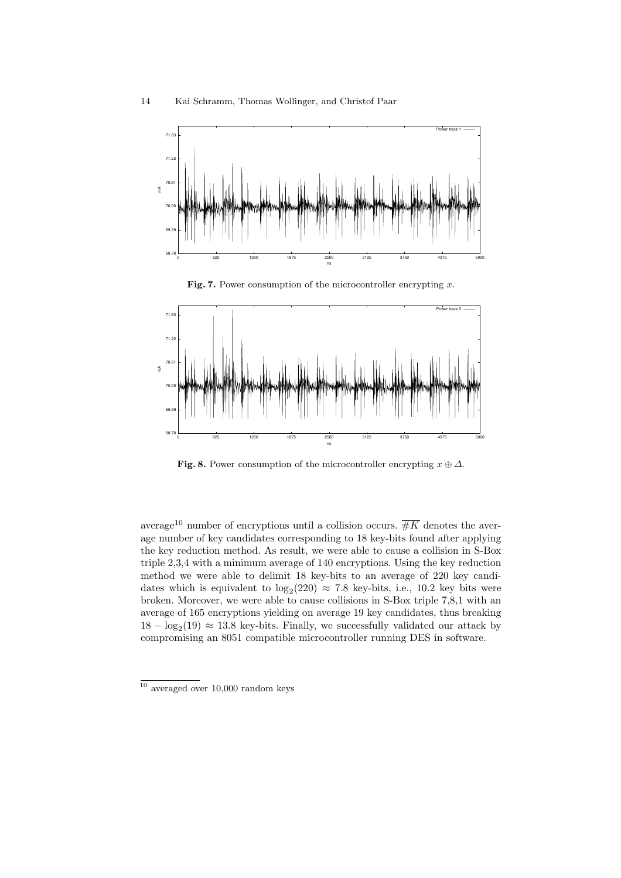

**Fig. 7.** Power consumption of the microcontroller encrypting  $x$ .



Fig. 8. Power consumption of the microcontroller encrypting  $x \oplus \Delta$ .

average<sup>10</sup> number of encryptions until a collision occurs.  $\overline{\#K}$  denotes the average number of key candidates corresponding to 18 key-bits found after applying the key reduction method. As result, we were able to cause a collision in S-Box triple 2,3,4 with a minimum average of 140 encryptions. Using the key reduction method we were able to delimit 18 key-bits to an average of 220 key candidates which is equivalent to  $log_2(220) \approx 7.8$  key-bits, i.e., 10.2 key bits were broken. Moreover, we were able to cause collisions in S-Box triple 7,8,1 with an average of 165 encryptions yielding on average 19 key candidates, thus breaking  $18 - \log_2(19) \approx 13.8$  key-bits. Finally, we successfully validated our attack by compromising an 8051 compatible microcontroller running DES in software.

 $\frac{10}{10}$  averaged over 10,000 random keys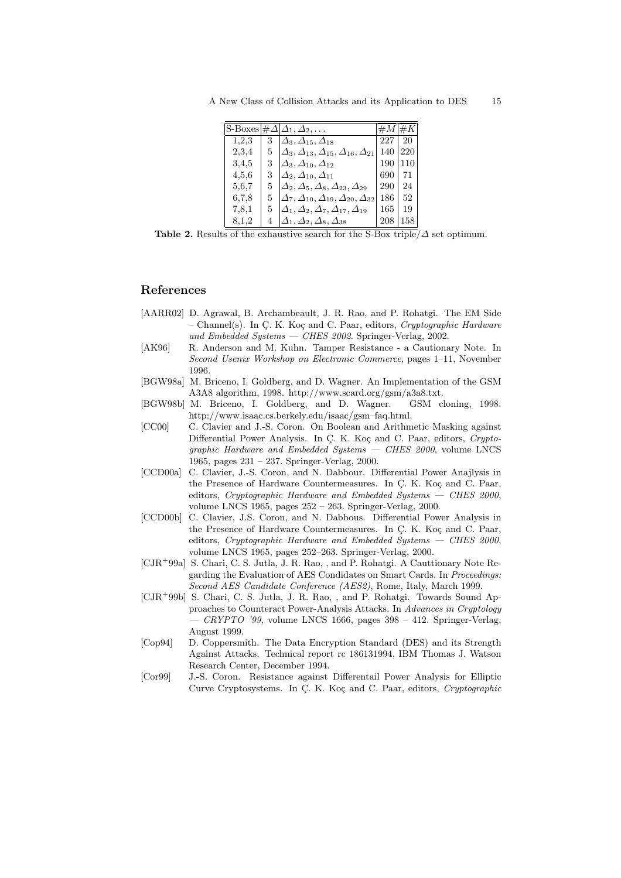A New Class of Collision Attacks and its Application to DES 15

|         |   | S-Boxes $\#\Delta \Delta_1,\Delta_2,\ldots$                    | #M#K |     |
|---------|---|----------------------------------------------------------------|------|-----|
| 1,2,3   |   | $\varDelta_3,\varDelta_{15},\varDelta_{18}$                    | 227  | 20  |
| 2,3,4   | 5 | $\Delta_3, \Delta_{13}, \Delta_{15}, \Delta_{16}, \Delta_{21}$ | 140  | 220 |
| 3,4,5   | 3 | $\Delta_3, \Delta_{10}, \Delta_{12}$                           | 190  | 110 |
| 4,5,6   |   | $\Delta_2, \Delta_{10}, \Delta_{11}$                           | 690  | 71  |
| 5,6,7   | 5 | $\Delta_2, \Delta_5, \Delta_8, \Delta_{23}, \Delta_{29}$       | 290  | 24  |
| 6,7,8   | 5 | $\Delta_7, \Delta_{10}, \Delta_{19}, \Delta_{20}, \Delta_{32}$ | 186  | 52  |
| 7, 8, 1 | 5 | $\Delta_1, \Delta_2, \Delta_7, \Delta_{17}, \Delta_{19}$       | 165  | 19  |
| 8,1,2   | 4 | $\varDelta_1,\varDelta_2,\varDelta_8,\varDelta_{38}$           | 208  | 158 |

Table 2. Results of the exhaustive search for the S-Box triple/ $\Delta$  set optimum.

### References

- [AARR02] D. Agrawal, B. Archambeault, J. R. Rao, and P. Rohatgi. The EM Side  $-$  Channel(s). In C. K. Koç and C. Paar, editors, Cryptographic Hardware and Embedded Systems — CHES 2002. Springer-Verlag, 2002.
- [AK96] R. Anderson and M. Kuhn. Tamper Resistance a Cautionary Note. In Second Usenix Workshop on Electronic Commerce, pages 1–11, November 1996.
- [BGW98a] M. Briceno, I. Goldberg, and D. Wagner. An Implementation of the GSM A3A8 algorithm, 1998. http://www.scard.org/gsm/a3a8.txt.
- [BGW98b] M. Briceno, I. Goldberg, and D. Wagner. GSM cloning, 1998. http://www.isaac.cs.berkely.edu/isaac/gsm–faq.html.
- [CC00] C. Clavier and J.-S. Coron. On Boolean and Arithmetic Masking against Differential Power Analysis. In C. K. Koç and C. Paar, editors, Cryptographic Hardware and Embedded Systems — CHES 2000, volume LNCS 1965, pages 231 – 237. Springer-Verlag, 2000.
- [CCD00a] C. Clavier, J.-S. Coron, and N. Dabbour. Differential Power Anajlysis in the Presence of Hardware Countermeasures. In Ç. K. Koç and C. Paar, editors, Cryptographic Hardware and Embedded Systems — CHES 2000, volume LNCS 1965, pages 252 – 263. Springer-Verlag, 2000.
- [CCD00b] C. Clavier, J.S. Coron, and N. Dabbous. Differential Power Analysis in the Presence of Hardware Countermeasures. In C. K. Koç and C. Paar, editors, Cryptographic Hardware and Embedded Systems — CHES 2000, volume LNCS 1965, pages 252–263. Springer-Verlag, 2000.
- [CJR<sup>+</sup>99a] S. Chari, C. S. Jutla, J. R. Rao, , and P. Rohatgi. A Cauttionary Note Regarding the Evaluation of AES Condidates on Smart Cards. In Proceedings: Second AES Candidate Conference (AES2), Rome, Italy, March 1999.
- [CJR<sup>+</sup>99b] S. Chari, C. S. Jutla, J. R. Rao, , and P. Rohatgi. Towards Sound Approaches to Counteract Power-Analysis Attacks. In Advances in Cryptology  $-CRYPTO$  '99, volume LNCS 1666, pages 398 – 412. Springer-Verlag, August 1999.
- [Cop94] D. Coppersmith. The Data Encryption Standard (DES) and its Strength Against Attacks. Technical report rc 186131994, IBM Thomas J. Watson Research Center, December 1994.
- [Cor99] J.-S. Coron. Resistance against Differentail Power Analysis for Elliptic Curve Cryptosystems. In Ç. K. Koç and C. Paar, editors, Cryptographic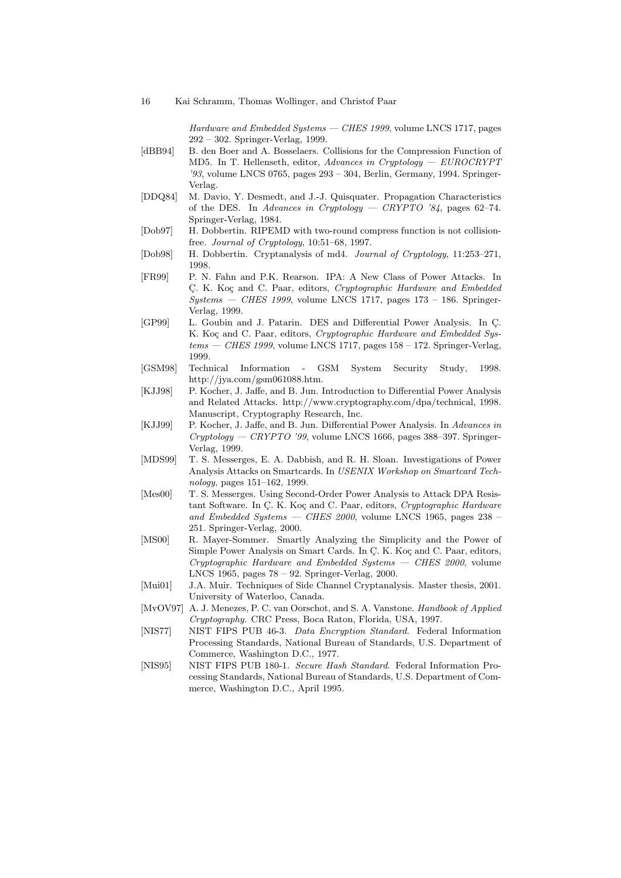Hardware and Embedded Systems — CHES 1999, volume LNCS 1717, pages 292 – 302. Springer-Verlag, 1999.

- [dBB94] B. den Boer and A. Bosselaers. Collisions for the Compression Function of MD5. In T. Hellenseth, editor, Advances in Cryptology — EUROCRYPT '93, volume LNCS 0765, pages 293 – 304, Berlin, Germany, 1994. Springer-Verlag.
- [DDQ84] M. Davio, Y. Desmedt, and J.-J. Quisquater. Propagation Characteristics of the DES. In Advances in Cryptology — CRYPTO '84, pages 62–74. Springer-Verlag, 1984.
- [Dob97] H. Dobbertin. RIPEMD with two-round compress function is not collisionfree. Journal of Cryptology, 10:51–68, 1997.
- [Dob98] H. Dobbertin. Cryptanalysis of md4. Journal of Cryptology, 11:253–271, 1998.
- [FR99] P. N. Fahn and P.K. Rearson. IPA: A New Class of Power Attacks. In Ç. K. Koç and C. Paar, editors, Cryptographic Hardware and Embedded  $Systems - CHES$  1999, volume LNCS 1717, pages 173 - 186. Springer-Verlag, 1999.
- [GP99] L. Goubin and J. Patarin. DES and Differential Power Analysis. In C. K. Koç and C. Paar, editors, Cryptographic Hardware and Embedded Sys $tems - CHES$  1999, volume LNCS 1717, pages  $158 - 172$ . Springer-Verlag, 1999.
- [GSM98] Technical Information GSM System Security Study, 1998. http://jya.com/gsm061088.htm.
- [KJJ98] P. Kocher, J. Jaffe, and B. Jun. Introduction to Differential Power Analysis and Related Attacks. http://www.cryptography.com/dpa/technical, 1998. Manuscript, Cryptography Research, Inc.
- [KJJ99] P. Kocher, J. Jaffe, and B. Jun. Differential Power Analysis. In Advances in  $Cryptology - CRYPTO'99$ , volume LNCS 1666, pages 388–397. Springer-Verlag, 1999.
- [MDS99] T. S. Messerges, E. A. Dabbish, and R. H. Sloan. Investigations of Power Analysis Attacks on Smartcards. In USENIX Workshop on Smartcard Technology, pages 151–162, 1999.
- [Mes00] T. S. Messerges. Using Second-Order Power Analysis to Attack DPA Resistant Software. In C. K. Koç and C. Paar, editors, Cryptographic Hardware and Embedded Systems  $-$  CHES 2000, volume LNCS 1965, pages 238 – 251. Springer-Verlag, 2000.
- [MS00] R. Mayer-Sommer. Smartly Analyzing the Simplicity and the Power of Simple Power Analysis on Smart Cards. In C. K. Koç and C. Paar, editors, Cryptographic Hardware and Embedded Systems — CHES 2000, volume LNCS 1965, pages 78 – 92. Springer-Verlag, 2000.
- [Mui01] J.A. Muir. Techniques of Side Channel Cryptanalysis. Master thesis, 2001. University of Waterloo, Canada.
- [MvOV97] A. J. Menezes, P. C. van Oorschot, and S. A. Vanstone. Handbook of Applied Cryptography. CRC Press, Boca Raton, Florida, USA, 1997.
- [NIS77] NIST FIPS PUB 46-3. Data Encryption Standard. Federal Information Processing Standards, National Bureau of Standards, U.S. Department of Commerce, Washington D.C., 1977.
- [NIS95] NIST FIPS PUB 180-1. Secure Hash Standard. Federal Information Processing Standards, National Bureau of Standards, U.S. Department of Commerce, Washington D.C., April 1995.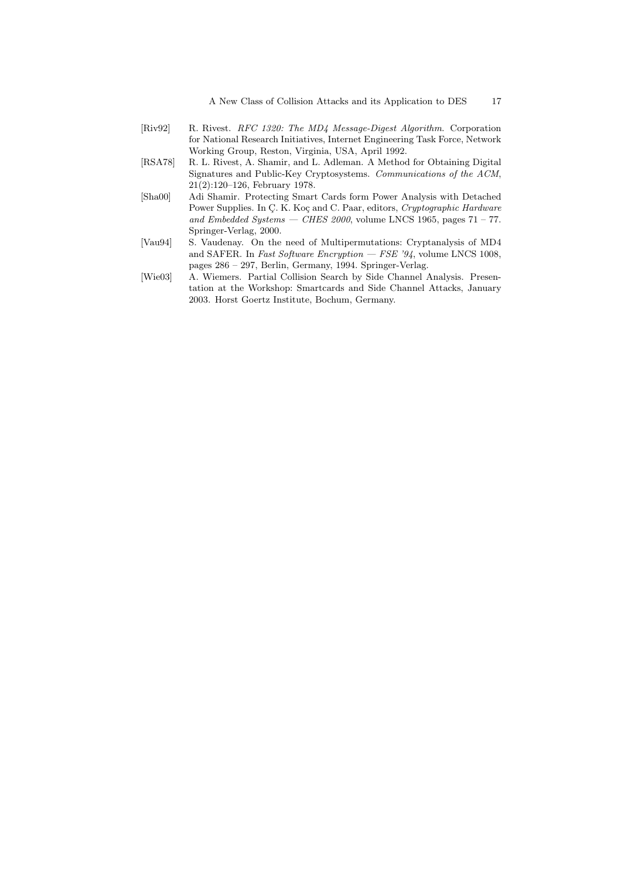A New Class of Collision Attacks and its Application to DES 17

- [Riv92] R. Rivest. RFC 1320: The MD4 Message-Digest Algorithm. Corporation for National Research Initiatives, Internet Engineering Task Force, Network Working Group, Reston, Virginia, USA, April 1992.
- [RSA78] R. L. Rivest, A. Shamir, and L. Adleman. A Method for Obtaining Digital Signatures and Public-Key Cryptosystems. Communications of the ACM, 21(2):120–126, February 1978.
- [Sha00] Adi Shamir. Protecting Smart Cards form Power Analysis with Detached Power Supplies. In Ç. K. Koç and C. Paar, editors, Cryptographic Hardware and Embedded Systems — CHES 2000, volume LNCS 1965, pages  $71 - 77$ . Springer-Verlag, 2000.
- [Vau94] S. Vaudenay. On the need of Multipermutations: Cryptanalysis of MD4 and SAFER. In Fast Software Encryption  $-$  FSE '94, volume LNCS 1008, pages 286 – 297, Berlin, Germany, 1994. Springer-Verlag.
- [Wie03] A. Wiemers. Partial Collision Search by Side Channel Analysis. Presentation at the Workshop: Smartcards and Side Channel Attacks, January 2003. Horst Goertz Institute, Bochum, Germany.